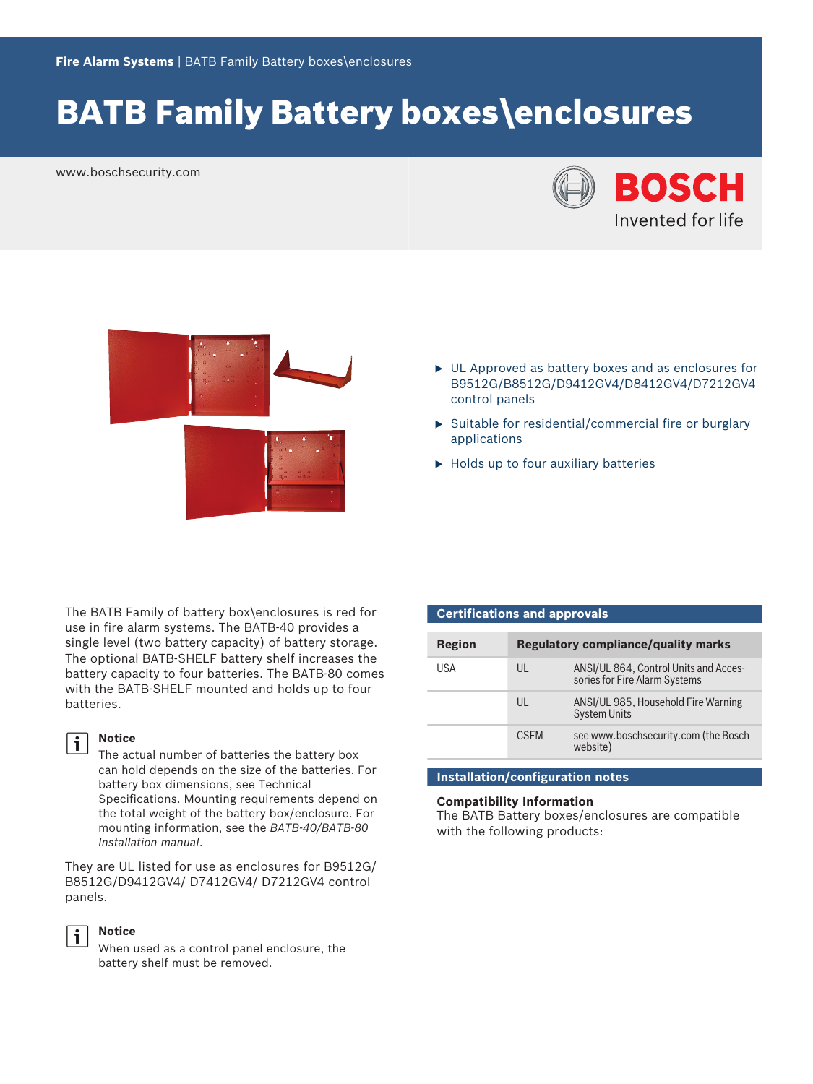# BATB Family Battery boxes\enclosures

www.boschsecurity.com





- $\triangleright$  UL Approved as battery boxes and as enclosures for B9512G/B8512G/D9412GV4/D8412GV4/D7212GV4 control panels
- $\triangleright$  Suitable for residential/commercial fire or burglary applications
- $\blacktriangleright$  Holds up to four auxiliary batteries

The BATB Family of battery box\enclosures is red for use in fire alarm systems. The BATB-40 provides a single level (two battery capacity) of battery storage. The optional BATB-SHELF battery shelf increases the battery capacity to four batteries. The BATB-80 comes with the BATB-SHELF mounted and holds up to four batteries.

## li.

**Notice** The actual number of batteries the battery box

can hold depends on the size of the batteries. For battery box dimensions, see Technical Specifications. Mounting requirements depend on the total weight of the battery box/enclosure. For mounting information, see the *BATB-40/BATB-80 Installation manual*.

They are UL listed for use as enclosures for B9512G/ B8512G/D9412GV4/ D7412GV4/ D7212GV4 control panels.



#### **Notice**

When used as a control panel enclosure, the battery shelf must be removed.

| <b>Certifications and approvals</b> |              |                                                                        |  |  |
|-------------------------------------|--------------|------------------------------------------------------------------------|--|--|
|                                     |              |                                                                        |  |  |
| Region                              |              | <b>Regulatory compliance/quality marks</b>                             |  |  |
| USA                                 | $\mathsf{U}$ | ANSI/UL 864, Control Units and Acces-<br>sories for Fire Alarm Systems |  |  |
|                                     | $\mathsf{U}$ | ANSI/UL 985, Household Fire Warning<br><b>System Units</b>             |  |  |
|                                     | <b>CSEM</b>  | see www.boschsecurity.com (the Bosch<br>website)                       |  |  |

#### **Installation/configuration notes**

#### **Compatibility Information**

The BATB Battery boxes/enclosures are compatible with the following products: